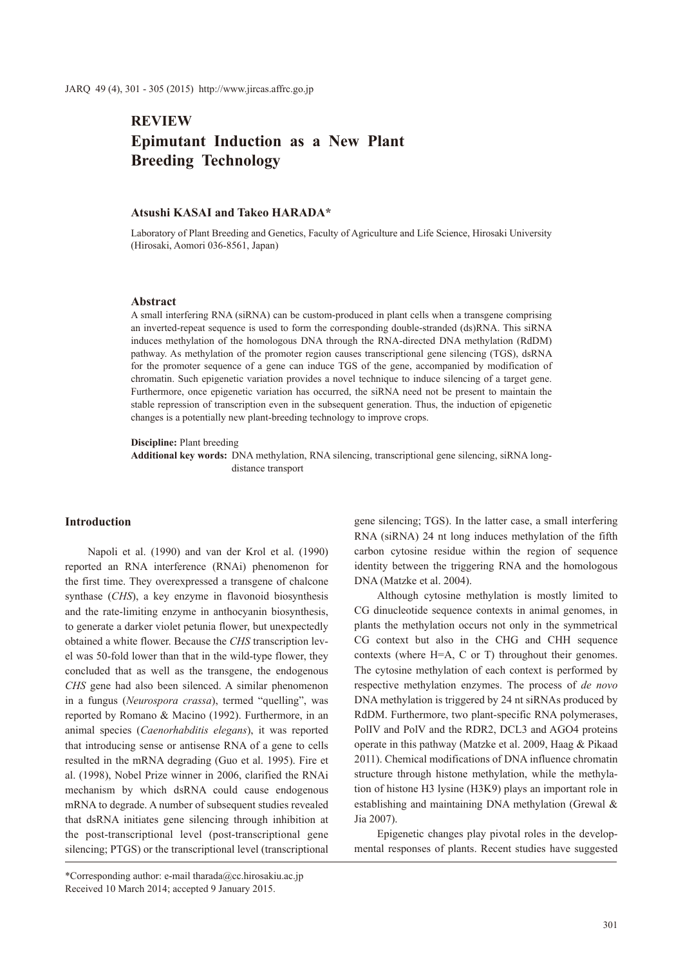# **REVIEW Epimutant Induction as a New Plant Breeding Technology**

## **Atsushi KASAI and Takeo HARADA\***

Laboratory of Plant Breeding and Genetics, Faculty of Agriculture and Life Science, Hirosaki University (Hirosaki, Aomori 036-8561, Japan)

#### **Abstract**

A small interfering RNA (siRNA) can be custom-produced in plant cells when a transgene comprising an inverted-repeat sequence is used to form the corresponding double-stranded (ds)RNA. This siRNA induces methylation of the homologous DNA through the RNA-directed DNA methylation (RdDM) pathway. As methylation of the promoter region causes transcriptional gene silencing (TGS), dsRNA for the promoter sequence of a gene can induce TGS of the gene, accompanied by modification of chromatin. Such epigenetic variation provides a novel technique to induce silencing of a target gene. Furthermore, once epigenetic variation has occurred, the siRNA need not be present to maintain the stable repression of transcription even in the subsequent generation. Thus, the induction of epigenetic changes is a potentially new plant-breeding technology to improve crops.

**Discipline:** Plant breeding

**Additional key words:** DNA methylation, RNA silencing, transcriptional gene silencing, siRNA longdistance transport

## **Introduction**

Napoli et al. (1990) and van der Krol et al. (1990) reported an RNA interference (RNAi) phenomenon for the first time. They overexpressed a transgene of chalcone synthase (*CHS*), a key enzyme in flavonoid biosynthesis and the rate-limiting enzyme in anthocyanin biosynthesis, to generate a darker violet petunia flower, but unexpectedly obtained a white flower. Because the *CHS* transcription level was 50-fold lower than that in the wild-type flower, they concluded that as well as the transgene, the endogenous *CHS* gene had also been silenced. A similar phenomenon in a fungus (*Neurospora crassa*), termed "quelling", was reported by Romano & Macino (1992). Furthermore, in an animal species (*Caenorhabditis elegans*), it was reported that introducing sense or antisense RNA of a gene to cells resulted in the mRNA degrading (Guo et al. 1995). Fire et al. (1998), Nobel Prize winner in 2006, clarified the RNAi mechanism by which dsRNA could cause endogenous mRNA to degrade. A number of subsequent studies revealed that dsRNA initiates gene silencing through inhibition at the post-transcriptional level (post-transcriptional gene silencing; PTGS) or the transcriptional level (transcriptional

gene silencing; TGS). In the latter case, a small interfering RNA (siRNA) 24 nt long induces methylation of the fifth carbon cytosine residue within the region of sequence identity between the triggering RNA and the homologous DNA (Matzke et al. 2004).

Although cytosine methylation is mostly limited to CG dinucleotide sequence contexts in animal genomes, in plants the methylation occurs not only in the symmetrical CG context but also in the CHG and CHH sequence contexts (where H=A, C or T) throughout their genomes. The cytosine methylation of each context is performed by respective methylation enzymes. The process of *de novo*  DNA methylation is triggered by 24 nt siRNAs produced by RdDM. Furthermore, two plant-specific RNA polymerases, PolIV and PolV and the RDR2, DCL3 and AGO4 proteins operate in this pathway (Matzke et al. 2009, Haag & Pikaad 2011). Chemical modifications of DNA influence chromatin structure through histone methylation, while the methylation of histone H3 lysine (H3K9) plays an important role in establishing and maintaining DNA methylation (Grewal & Jia 2007).

Epigenetic changes play pivotal roles in the developmental responses of plants. Recent studies have suggested

<sup>\*</sup>Corresponding author: e-mail tharada@cc.hirosakiu.ac.jp Received 10 March 2014; accepted 9 January 2015.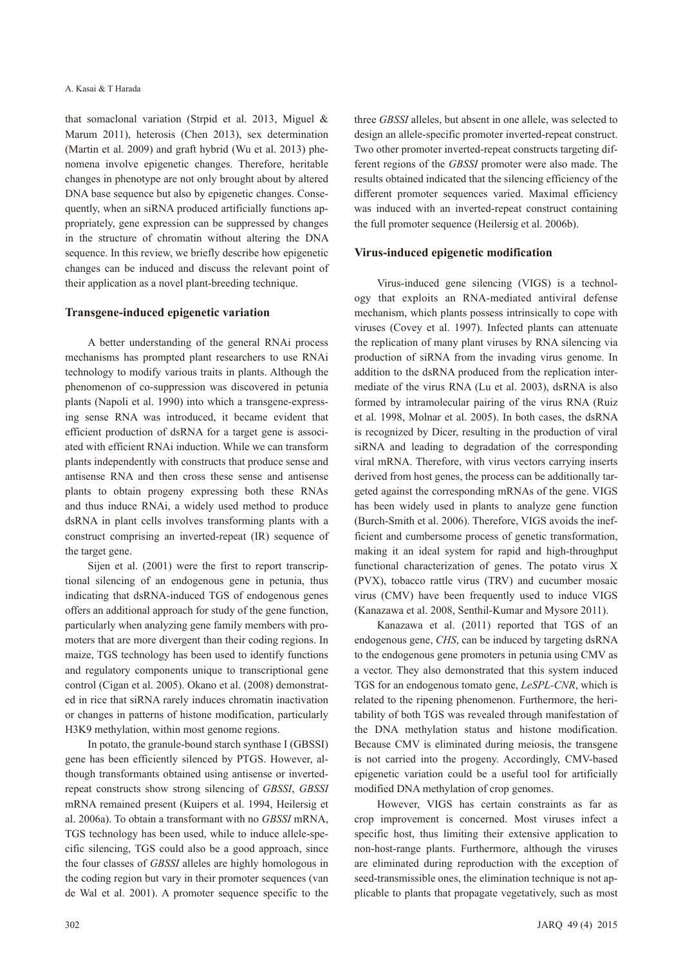that somaclonal variation (Strpid et al. 2013, Miguel & Marum 2011), heterosis (Chen 2013), sex determination (Martin et al. 2009) and graft hybrid (Wu et al. 2013) phenomena involve epigenetic changes. Therefore, heritable changes in phenotype are not only brought about by altered DNA base sequence but also by epigenetic changes. Consequently, when an siRNA produced artificially functions appropriately, gene expression can be suppressed by changes in the structure of chromatin without altering the DNA sequence. In this review, we briefly describe how epigenetic changes can be induced and discuss the relevant point of their application as a novel plant-breeding technique.

## **Transgene-induced epigenetic variation**

A better understanding of the general RNAi process mechanisms has prompted plant researchers to use RNAi technology to modify various traits in plants. Although the phenomenon of co-suppression was discovered in petunia plants (Napoli et al. 1990) into which a transgene-expressing sense RNA was introduced, it became evident that efficient production of dsRNA for a target gene is associated with efficient RNAi induction. While we can transform plants independently with constructs that produce sense and antisense RNA and then cross these sense and antisense plants to obtain progeny expressing both these RNAs and thus induce RNAi, a widely used method to produce dsRNA in plant cells involves transforming plants with a construct comprising an inverted-repeat (IR) sequence of the target gene.

Sijen et al. (2001) were the first to report transcriptional silencing of an endogenous gene in petunia, thus indicating that dsRNA-induced TGS of endogenous genes offers an additional approach for study of the gene function, particularly when analyzing gene family members with promoters that are more divergent than their coding regions. In maize, TGS technology has been used to identify functions and regulatory components unique to transcriptional gene control (Cigan et al. 2005). Okano et al. (2008) demonstrated in rice that siRNA rarely induces chromatin inactivation or changes in patterns of histone modification, particularly H3K9 methylation, within most genome regions.

In potato, the granule-bound starch synthase I (GBSSI) gene has been efficiently silenced by PTGS. However, although transformants obtained using antisense or invertedrepeat constructs show strong silencing of *GBSSI*, *GBSSI*  mRNA remained present (Kuipers et al. 1994, Heilersig et al. 2006a). To obtain a transformant with no *GBSSI* mRNA, TGS technology has been used, while to induce allele-specific silencing, TGS could also be a good approach, since the four classes of *GBSSI* alleles are highly homologous in the coding region but vary in their promoter sequences (van de Wal et al. 2001). A promoter sequence specific to the

three *GBSSI* alleles, but absent in one allele, was selected to design an allele-specific promoter inverted-repeat construct. Two other promoter inverted-repeat constructs targeting different regions of the *GBSSI* promoter were also made. The results obtained indicated that the silencing efficiency of the different promoter sequences varied. Maximal efficiency was induced with an inverted-repeat construct containing the full promoter sequence (Heilersig et al. 2006b).

## **Virus-induced epigenetic modification**

Virus-induced gene silencing (VIGS) is a technology that exploits an RNA-mediated antiviral defense mechanism, which plants possess intrinsically to cope with viruses (Covey et al. 1997). Infected plants can attenuate the replication of many plant viruses by RNA silencing via production of siRNA from the invading virus genome. In addition to the dsRNA produced from the replication intermediate of the virus RNA (Lu et al. 2003), dsRNA is also formed by intramolecular pairing of the virus RNA (Ruiz et al. 1998, Molnar et al. 2005). In both cases, the dsRNA is recognized by Dicer, resulting in the production of viral siRNA and leading to degradation of the corresponding viral mRNA. Therefore, with virus vectors carrying inserts derived from host genes, the process can be additionally targeted against the corresponding mRNAs of the gene. VIGS has been widely used in plants to analyze gene function (Burch-Smith et al. 2006). Therefore, VIGS avoids the inefficient and cumbersome process of genetic transformation, making it an ideal system for rapid and high-throughput functional characterization of genes. The potato virus X (PVX), tobacco rattle virus (TRV) and cucumber mosaic virus (CMV) have been frequently used to induce VIGS (Kanazawa et al. 2008, Senthil-Kumar and Mysore 2011).

Kanazawa et al. (2011) reported that TGS of an endogenous gene, *CHS*, can be induced by targeting dsRNA to the endogenous gene promoters in petunia using CMV as a vector. They also demonstrated that this system induced TGS for an endogenous tomato gene, *LeSPL-CNR*, which is related to the ripening phenomenon. Furthermore, the heritability of both TGS was revealed through manifestation of the DNA methylation status and histone modification. Because CMV is eliminated during meiosis, the transgene is not carried into the progeny. Accordingly, CMV-based epigenetic variation could be a useful tool for artificially modified DNA methylation of crop genomes.

However, VIGS has certain constraints as far as crop improvement is concerned. Most viruses infect a specific host, thus limiting their extensive application to non-host-range plants. Furthermore, although the viruses are eliminated during reproduction with the exception of seed-transmissible ones, the elimination technique is not applicable to plants that propagate vegetatively, such as most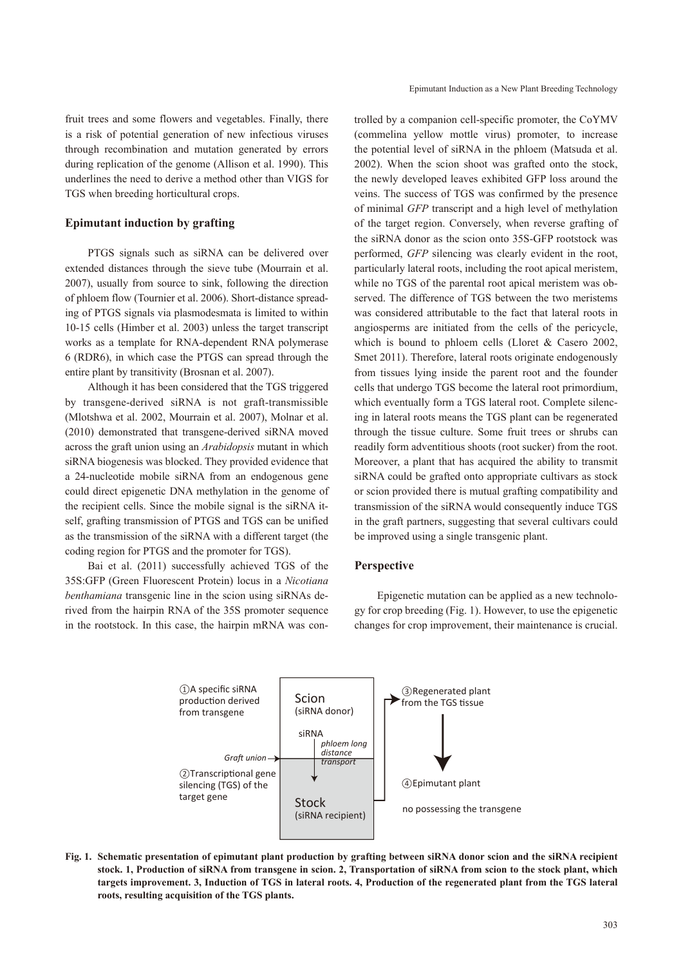fruit trees and some flowers and vegetables. Finally, there is a risk of potential generation of new infectious viruses through recombination and mutation generated by errors during replication of the genome (Allison et al. 1990). This underlines the need to derive a method other than VIGS for TGS when breeding horticultural crops.

## **Epimutant induction by grafting**

PTGS signals such as siRNA can be delivered over extended distances through the sieve tube (Mourrain et al. 2007), usually from source to sink, following the direction of phloem flow (Tournier et al. 2006). Short-distance spreading of PTGS signals via plasmodesmata is limited to within 10-15 cells (Himber et al. 2003) unless the target transcript works as a template for RNA-dependent RNA polymerase 6 (RDR6), in which case the PTGS can spread through the entire plant by transitivity (Brosnan et al. 2007).

Although it has been considered that the TGS triggered by transgene-derived siRNA is not graft-transmissible (Mlotshwa et al. 2002, Mourrain et al. 2007), Molnar et al. (2010) demonstrated that transgene-derived siRNA moved across the graft union using an *Arabidopsis* mutant in which siRNA biogenesis was blocked. They provided evidence that a 24-nucleotide mobile siRNA from an endogenous gene could direct epigenetic DNA methylation in the genome of the recipient cells. Since the mobile signal is the siRNA itself, grafting transmission of PTGS and TGS can be unified as the transmission of the siRNA with a different target (the coding region for PTGS and the promoter for TGS).

Bai et al. (2011) successfully achieved TGS of the 35S:GFP (Green Fluorescent Protein) locus in a *Nicotiana benthamiana* transgenic line in the scion using siRNAs derived from the hairpin RNA of the 35S promoter sequence in the rootstock. In this case, the hairpin mRNA was con-

trolled by a companion cell-specific promoter, the CoYMV (commelina yellow mottle virus) promoter, to increase the potential level of siRNA in the phloem (Matsuda et al. 2002). When the scion shoot was grafted onto the stock, the newly developed leaves exhibited GFP loss around the veins. The success of TGS was confirmed by the presence of minimal *GFP* transcript and a high level of methylation of the target region. Conversely, when reverse grafting of the siRNA donor as the scion onto 35S-GFP rootstock was performed, *GFP* silencing was clearly evident in the root, particularly lateral roots, including the root apical meristem, while no TGS of the parental root apical meristem was observed. The difference of TGS between the two meristems was considered attributable to the fact that lateral roots in angiosperms are initiated from the cells of the pericycle, which is bound to phloem cells (Lloret & Casero 2002, Smet 2011). Therefore, lateral roots originate endogenously from tissues lying inside the parent root and the founder cells that undergo TGS become the lateral root primordium, which eventually form a TGS lateral root. Complete silencing in lateral roots means the TGS plant can be regenerated through the tissue culture. Some fruit trees or shrubs can readily form adventitious shoots (root sucker) from the root. Moreover, a plant that has acquired the ability to transmit siRNA could be grafted onto appropriate cultivars as stock or scion provided there is mutual grafting compatibility and transmission of the siRNA would consequently induce TGS in the graft partners, suggesting that several cultivars could be improved using a single transgenic plant.

## **Perspective**

Epigenetic mutation can be applied as a new technology for crop breeding (Fig. 1). However, to use the epigenetic changes for crop improvement, their maintenance is crucial.



**Fig. 1. Schematic presentation of epimutant plant production by grafting between siRNA donor scion and the siRNA recipient stock. 1, Production of siRNA from transgene in scion. 2, Transportation of siRNA from scion to the stock plant, which targets improvement. 3, Induction of TGS in lateral roots. 4, Production of the regenerated plant from the TGS lateral roots, resulting acquisition of the TGS plants.**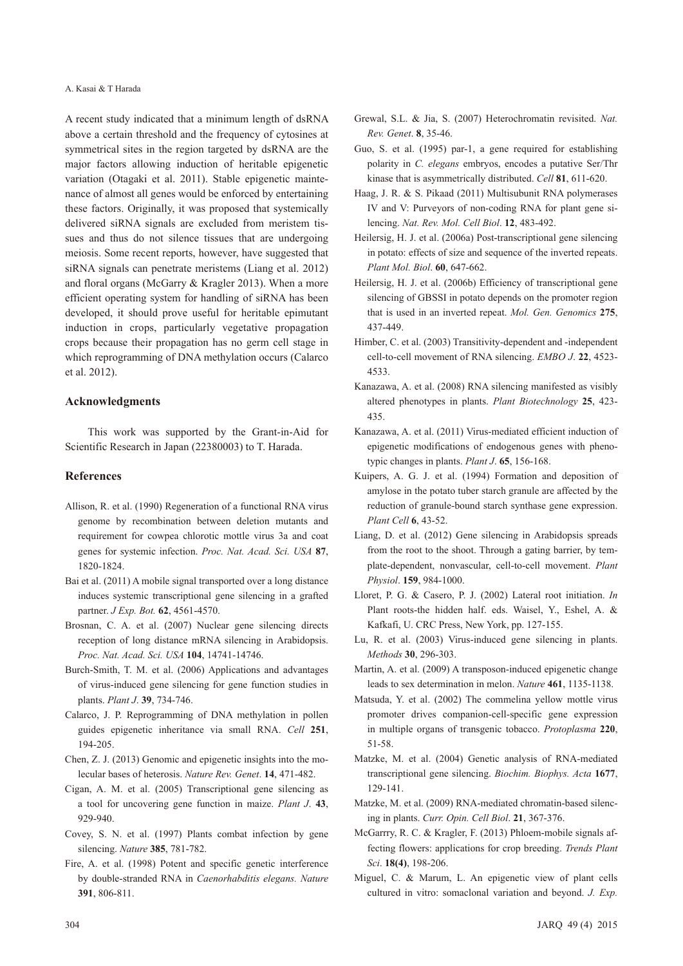#### A. Kasai & T Harada

A recent study indicated that a minimum length of dsRNA above a certain threshold and the frequency of cytosines at symmetrical sites in the region targeted by dsRNA are the major factors allowing induction of heritable epigenetic variation (Otagaki et al. 2011). Stable epigenetic maintenance of almost all genes would be enforced by entertaining these factors. Originally, it was proposed that systemically delivered siRNA signals are excluded from meristem tissues and thus do not silence tissues that are undergoing meiosis. Some recent reports, however, have suggested that siRNA signals can penetrate meristems (Liang et al. 2012) and floral organs (McGarry & Kragler 2013). When a more efficient operating system for handling of siRNA has been developed, it should prove useful for heritable epimutant induction in crops, particularly vegetative propagation crops because their propagation has no germ cell stage in which reprogramming of DNA methylation occurs (Calarco et al. 2012).

## **Acknowledgments**

This work was supported by the Grant-in-Aid for Scientific Research in Japan (22380003) to T. Harada.

## **References**

- Allison, R. et al. (1990) Regeneration of a functional RNA virus genome by recombination between deletion mutants and requirement for cowpea chlorotic mottle virus 3a and coat genes for systemic infection. *Proc. Nat. Acad. Sci. USA* **87**, 1820-1824.
- Bai et al. (2011) A mobile signal transported over a long distance induces systemic transcriptional gene silencing in a grafted partner. *J Exp. Bot.* **62**, 4561-4570.
- Brosnan, C. A. et al. (2007) Nuclear gene silencing directs reception of long distance mRNA silencing in Arabidopsis. *Proc. Nat. Acad. Sci. USA* **104**, 14741-14746.
- Burch-Smith, T. M. et al. (2006) Applications and advantages of virus-induced gene silencing for gene function studies in plants. *Plant J*. **39**, 734-746.
- Calarco, J. P. Reprogramming of DNA methylation in pollen guides epigenetic inheritance via small RNA. *Cell* **251**, 194-205.
- Chen, Z. J. (2013) Genomic and epigenetic insights into the molecular bases of heterosis. *Nature Rev. Genet*. **14**, 471-482.
- Cigan, A. M. et al. (2005) Transcriptional gene silencing as a tool for uncovering gene function in maize. *Plant J*. **43**, 929-940.
- Covey, S. N. et al. (1997) Plants combat infection by gene silencing. *Nature* **385**, 781-782.
- Fire, A. et al. (1998) Potent and specific genetic interference by double-stranded RNA in *Caenorhabditis elegans. Nature* **391**, 806-811.
- Grewal, S.L. & Jia, S. (2007) Heterochromatin revisited. *Nat. Rev. Genet*. **8**, 35-46.
- Guo, S. et al. (1995) par-1, a gene required for establishing polarity in *C. elegans* embryos, encodes a putative Ser/Thr kinase that is asymmetrically distributed. *Cell* **81**, 611-620.
- Haag, J. R. & S. Pikaad (2011) Multisubunit RNA polymerases IV and V: Purveyors of non-coding RNA for plant gene silencing. *Nat. Rev. Mol. Cell Biol*. **12**, 483-492.
- Heilersig, H. J. et al. (2006a) Post-transcriptional gene silencing in potato: effects of size and sequence of the inverted repeats. *Plant Mol. Biol*. **60**, 647-662.
- Heilersig, H. J. et al. (2006b) Efficiency of transcriptional gene silencing of GBSSI in potato depends on the promoter region that is used in an inverted repeat. *Mol. Gen. Genomics* **275**, 437-449.
- Himber, C. et al. (2003) Transitivity-dependent and -independent cell-to-cell movement of RNA silencing. *EMBO J*. **22**, 4523- 4533.
- Kanazawa, A. et al. (2008) RNA silencing manifested as visibly altered phenotypes in plants. *Plant Biotechnology* **25**, 423- 435.
- Kanazawa, A. et al. (2011) Virus-mediated efficient induction of epigenetic modifications of endogenous genes with phenotypic changes in plants. *Plant J*. **65**, 156-168.
- Kuipers, A. G. J. et al. (1994) Formation and deposition of amylose in the potato tuber starch granule are affected by the reduction of granule-bound starch synthase gene expression. *Plant Cell* **6**, 43-52.
- Liang, D. et al. (2012) Gene silencing in Arabidopsis spreads from the root to the shoot. Through a gating barrier, by template-dependent, nonvascular, cell-to-cell movement. *Plant Physiol*. **159**, 984-1000.
- Lloret, P. G. & Casero, P. J. (2002) Lateral root initiation. *In* Plant roots-the hidden half. eds. Waisel, Y., Eshel, A. & Kafkafi, U. CRC Press, New York, pp. 127-155.
- Lu, R. et al. (2003) Virus-induced gene silencing in plants. *Methods* **30**, 296-303.
- Martin, A. et al. (2009) A transposon-induced epigenetic change leads to sex determination in melon. *Nature* **461**, 1135-1138.
- Matsuda, Y. et al. (2002) The commelina yellow mottle virus promoter drives companion-cell-specific gene expression in multiple organs of transgenic tobacco. *Protoplasma* **220**, 51-58.
- Matzke, M. et al. (2004) Genetic analysis of RNA-mediated transcriptional gene silencing. *Biochim. Biophys. Acta* **1677**, 129-141.
- Matzke, M. et al. (2009) RNA-mediated chromatin-based silencing in plants. *Curr. Opin. Cell Biol*. **21**, 367-376.
- McGarrry, R. C. & Kragler, F. (2013) Phloem-mobile signals affecting flowers: applications for crop breeding. *Trends Plant Sci*. **18(4)**, 198-206.
- Miguel, C. & Marum, L. An epigenetic view of plant cells cultured in vitro: somaclonal variation and beyond. *J. Exp.*